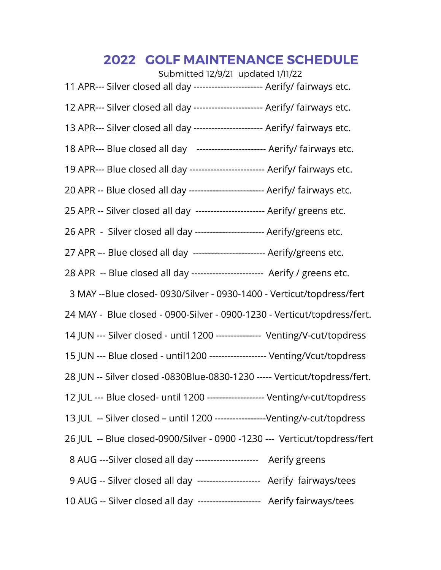## **2022 GOLF MAINTENANCE SCHEDULE**

| Submitted 12/9/21 updated 1/11/22                                             |  |
|-------------------------------------------------------------------------------|--|
| 11 APR--- Silver closed all day ----------------------- Aerify/ fairways etc. |  |
| 12 APR--- Silver closed all day ----------------------- Aerify/ fairways etc. |  |
| 13 APR--- Silver closed all day ----------------------- Aerify/ fairways etc. |  |
| 18 APR--- Blue closed all day ----------------------- Aerify/ fairways etc.   |  |
| 19 APR--- Blue closed all day ------------------------- Aerify/ fairways etc. |  |
| 20 APR -- Blue closed all day ------------------------- Aerify/ fairways etc. |  |
| 25 APR -- Silver closed all day ---------------------- Aerify/ greens etc.    |  |
| 26 APR - Silver closed all day ---------------------- Aerify/greens etc.      |  |
| 27 APR -- Blue closed all day ------------------------ Aerify/greens etc.     |  |
| 28 APR -- Blue closed all day ------------------------ Aerify / greens etc.   |  |
| 3 MAY --Blue closed-0930/Silver - 0930-1400 - Verticut/topdress/fert          |  |
| 24 MAY - Blue closed - 0900-Silver - 0900-1230 - Verticut/topdress/fert.      |  |
| 14 JUN --- Silver closed - until 1200 -------------- Venting/V-cut/topdress   |  |
| 15 JUN --- Blue closed - until1200 ------------------- Venting/Vcut/topdress  |  |
| 28 JUN -- Silver closed -0830Blue-0830-1230 ----- Verticut/topdress/fert.     |  |
| 12 JUL --- Blue closed- until 1200 ------------------- Venting/v-cut/topdress |  |
| 13 JUL -- Silver closed - until 1200 -----------------Venting/v-cut/topdress  |  |
| 26 JUL -- Blue closed-0900/Silver - 0900 -1230 --- Verticut/topdress/fert     |  |
| 8 AUG ---Silver closed all day --------------------- Aerify greens            |  |
| 9 AUG -- Silver closed all day --------------------- Aerify fairways/tees     |  |
| 10 AUG -- Silver closed all day --------------------- Aerify fairways/tees    |  |